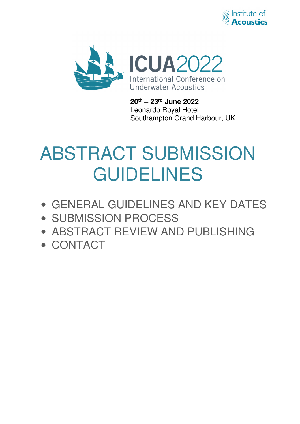



**20th – 23rd June 2022**  Leonardo Royal Hotel Southampton Grand Harbour, UK

# ABSTRACT SUBMISSION GUIDELINES

- GENERAL GUIDELINES AND KEY DATES
- SUBMISSION PROCESS
- ABSTRACT REVIEW AND PUBLISHING
- CONTACT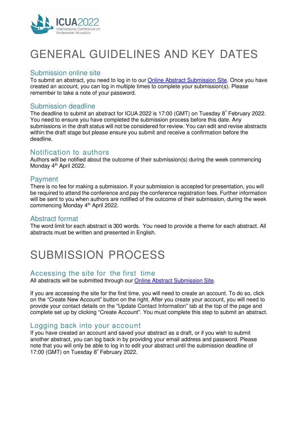

# GENERAL GUIDELINES AND KEY DATES

# Submission online site

To submit an abstract, you need to log in to our Online Abstract Submission Site. Once you have created an account, you can log in multiple times to complete your submission(s). Please remember to take a note of your password.

### Submission deadline

The deadline to submit an abstract for ICUA 2022 is 17:00 (GMT) on Tuesday  $8<sup>th</sup>$  February 2022. You need to ensure you have completed the submission process before this date. Any submissions in the draft status will not be considered for review. You can edit and revise abstracts within the draft stage but please ensure you submit and receive a confirmation before the deadline.

# Notification to authors

Authors will be notified about the outcome of their submission(s) during the week commencing Monday 4<sup>th</sup> April 2022.

# Payment

There is no fee for making a submission. If your submission is accepted for presentation, you will be required to attend the conference and pay the conference registration fees. Further information will be sent to you when authors are notified of the outcome of their submission, during the week commencing Monday 4<sup>th</sup> April 2022.

# Abstract format

The word limit for each abstract is 300 words. You need to provide a theme for each abstract. All abstracts must be written and presented in English.

# SUBMISSION PROCESS

# Accessing the site for the first time

All abstracts will be submitted through our Online Abstract Submission Site.

If you are accessing the site for the first time, you will need to create an account. To do so, click on the "Create New Account" button on the right. After you create your account, you will need to provide your contact details on the "Update Contact Information" tab at the top of the page and complete set up by clicking "Create Account". You must complete this step to submit an abstract.

# Logging back into your account

If you have created an account and saved your abstract as a draft, or if you wish to submit another abstract, you can log back in by providing your email address and password. Please note that you will only be able to log in to edit your abstract until the submission deadline of 17:00 (GMT) on Tuesday  $8^{\degree}$  February 2022.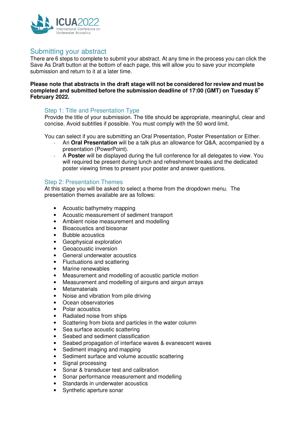

# Submitting your abstract

There are 6 steps to complete to submit your abstract. At any time in the process you can click the Save As Draft button at the bottom of each page, this will allow you to save your incomplete submission and return to it at a later time.

#### **Please note that abstracts in the draft stage will not be considered for review and must be**  completed and submitted before the submission deadline of 17:00 (GMT) on Tuesday 8<sup>th</sup> **February 2022.**

### Step 1: Title and Presentation Type

Provide the title of your submission. The title should be appropriate, meaningful, clear and concise. Avoid subtitles if possible. You must comply with the 50 word limit.

You can select if you are submitting an Oral Presentation, Poster Presentation or Either.

- ˗ An **Oral Presentation** will be a talk plus an allowance for Q&A, accompanied by a presentation (PowerPoint).
- ˗ A **Poster** will be displayed during the full conference for all delegates to view. You will required be present during lunch and refreshment breaks and the dedicated poster viewing times to present your poster and answer questions.

#### Step 2: Presentation Themes

At this stage you will be asked to select a theme from the dropdown menu. The presentation themes available are as follows:

- Acoustic bathymetry mapping
- Acoustic measurement of sediment transport
- Ambient noise measurement and modelling
- Bioacoustics and biosonar
- Bubble acoustics
- Geophysical exploration
- Geoacoustic inversion
- General underwater acoustics
- Fluctuations and scattering
- Marine renewables
- Measurement and modelling of acoustic particle motion
- Measurement and modelling of airguns and airgun arrays
- Metamaterials
- Noise and vibration from pile driving
- Ocean observatories
- Polar acoustics
- Radiated noise from ships
- Scattering from biota and particles in the water column
- Sea surface acoustic scattering
- Seabed and sediment classification
- Seabed propagation of interface waves & evanescent waves
- Sediment imaging and mapping
- Sediment surface and volume acoustic scattering
- Signal processing
- Sonar & transducer test and calibration
- Sonar performance measurement and modelling
- Standards in underwater acoustics
- Synthetic aperture sonar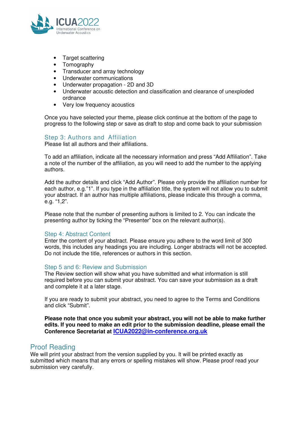

- Target scattering
- Tomography
- Transducer and array technology
- Underwater communications
- Underwater propagation 2D and 3D
- Underwater acoustic detection and classification and clearance of unexploded ordnance
- Very low frequency acoustics

Once you have selected your theme, please click continue at the bottom of the page to progress to the following step or save as draft to stop and come back to your submission

#### Step 3: Authors and Affiliation

Please list all authors and their affiliations.

To add an affiliation, indicate all the necessary information and press "Add Affiliation". Take a note of the number of the affiliation, as you will need to add the number to the applying authors.

Add the author details and click "Add Author". Please only provide the affiliation number for each author, e.g."1". If you type in the affiliation title, the system will not allow you to submit your abstract. If an author has multiple affiliations, please indicate this through a comma, e.g. "1,2".

Please note that the number of presenting authors is limited to 2. You can indicate the presenting author by ticking the "Presenter" box on the relevant author(s).

#### Step 4: Abstract Content

Enter the content of your abstract. Please ensure you adhere to the word limit of 300 words, this includes any headings you are including. Longer abstracts will not be accepted. Do not include the title, references or authors in this section.

#### Step 5 and 6: Review and Submission

The Review section will show what you have submitted and what information is still required before you can submit your abstract. You can save your submission as a draft and complete it at a later stage.

If you are ready to submit your abstract, you need to agree to the Terms and Conditions and click "Submit".

**Please note that once you submit your abstract, you will not be able to make further edits. If you need to make an edit prior to the submission deadline, please email the Conference Secretariat at ICUA2022@in-conference.org.uk** 

### Proof Reading

We will print your abstract from the version supplied by you. It will be printed exactly as submitted which means that any errors or spelling mistakes will show. Please proof read your submission very carefully.